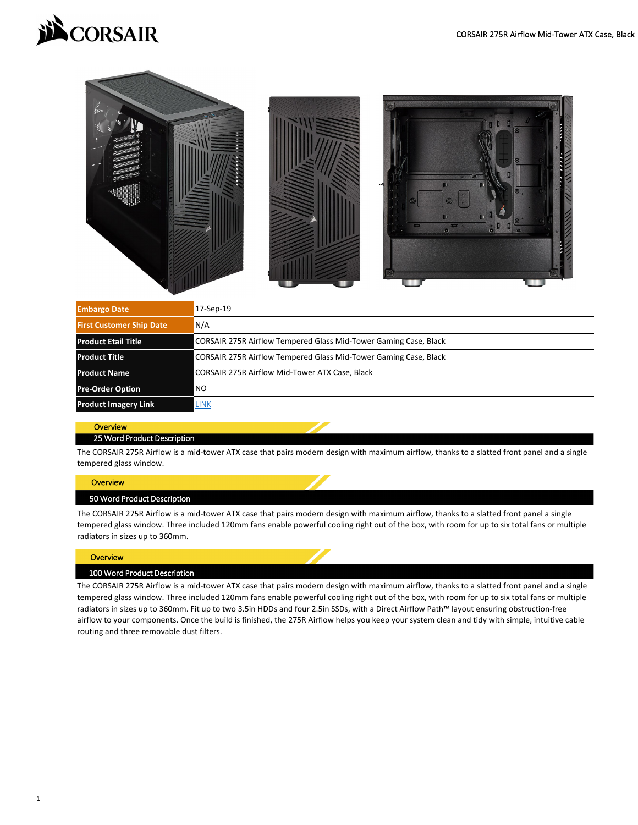



| <b>Embargo Date</b>             | 17-Sep-19                                                        |  |  |  |
|---------------------------------|------------------------------------------------------------------|--|--|--|
| <b>First Customer Ship Date</b> | N/A                                                              |  |  |  |
| <b>Product Etail Title</b>      | CORSAIR 275R Airflow Tempered Glass Mid-Tower Gaming Case, Black |  |  |  |
| <b>Product Title</b>            | CORSAIR 275R Airflow Tempered Glass Mid-Tower Gaming Case, Black |  |  |  |
| <b>Product Name</b>             | <b>CORSAIR 275R Airflow Mid-Tower ATX Case, Black</b>            |  |  |  |
| <b>Pre-Order Option</b>         | <b>NO</b>                                                        |  |  |  |
| <b>Product Imagery Link</b>     | <b>LINK</b>                                                      |  |  |  |

The CORSAIR 275R Airflow is a mid-tower ATX case that pairs modern design with maximum airflow, thanks to a slatted front panel and a single tempered glass window.

### **Overview**

The CORSAIR 275R Airflow is a mid-tower ATX case that pairs modern design with maximum airflow, thanks to a slatted front panel a single tempered glass window. Three included 120mm fans enable powerful cooling right out of the box, with room for up to six total fans or multiple radiators in sizes up to 360mm.

### **Overview**

## **Overview** 25 Word Product Description

The CORSAIR 275R Airflow is a mid-tower ATX case that pairs modern design with maximum airflow, thanks to a slatted front panel and a single tempered glass window. Three included 120mm fans enable powerful cooling right out of the box, with room for up to six total fans or multiple radiators in sizes up to 360mm. Fit up to two 3.5in HDDs and four 2.5in SSDs, with a Direct Airflow Path™ layout ensuring obstruction-free airflow to your components. Once the build is finished, the 275R Airflow helps you keep your system clean and tidy with simple, intuitive cable routing and three removable dust filters.

### 100 Word Product Description

# 50 Word Product Description

1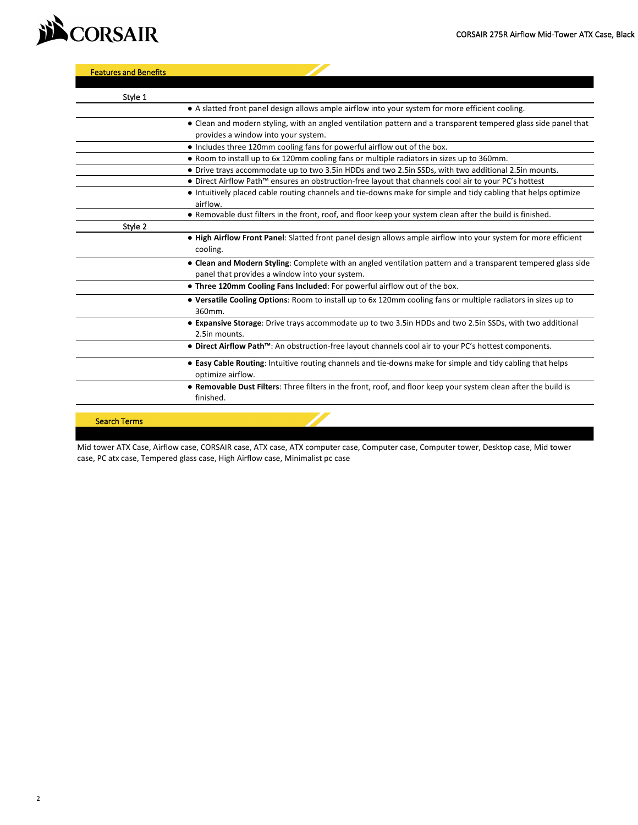

Mid tower ATX Case, Airflow case, CORSAIR case, ATX case, ATX computer case, Computer case, Computer tower, Desktop case, Mid tower case, PC atx case, Tempered glass case, High Airflow case, Minimalist pc case

| Style 1             |                                                                                                                                                                 |
|---------------------|-----------------------------------------------------------------------------------------------------------------------------------------------------------------|
|                     | • A slatted front panel design allows ample airflow into your system for more efficient cooling.                                                                |
|                     | • Clean and modern styling, with an angled ventilation pattern and a transparent tempered glass side panel that<br>provides a window into your system.          |
|                     | • Includes three 120mm cooling fans for powerful airflow out of the box.                                                                                        |
|                     | • Room to install up to 6x 120mm cooling fans or multiple radiators in sizes up to 360mm.                                                                       |
|                     | • Drive trays accommodate up to two 3.5in HDDs and two 2.5in SSDs, with two additional 2.5in mounts.                                                            |
|                     | • Direct Airflow Path™ ensures an obstruction-free layout that channels cool air to your PC's hottest                                                           |
|                     | • Intuitively placed cable routing channels and tie-downs make for simple and tidy cabling that helps optimize<br>airflow.                                      |
|                     | • Removable dust filters in the front, roof, and floor keep your system clean after the build is finished.                                                      |
| Style 2             |                                                                                                                                                                 |
|                     | . High Airflow Front Panel: Slatted front panel design allows ample airflow into your system for more efficient<br>cooling.                                     |
|                     | • Clean and Modern Styling: Complete with an angled ventilation pattern and a transparent tempered glass side<br>panel that provides a window into your system. |
|                     | . Three 120mm Cooling Fans Included: For powerful airflow out of the box.                                                                                       |
|                     | . Versatile Cooling Options: Room to install up to 6x 120mm cooling fans or multiple radiators in sizes up to<br>360mm.                                         |
|                     | • Expansive Storage: Drive trays accommodate up to two 3.5in HDDs and two 2.5in SSDs, with two additional<br>2.5in mounts.                                      |
|                     | • Direct Airflow Path <sup>TM</sup> : An obstruction-free layout channels cool air to your PC's hottest components.                                             |
|                     | • Easy Cable Routing: Intuitive routing channels and tie-downs make for simple and tidy cabling that helps<br>optimize airflow.                                 |
|                     | • Removable Dust Filters: Three filters in the front, roof, and floor keep your system clean after the build is<br>finished.                                    |
| <b>Search Terms</b> |                                                                                                                                                                 |

|--|

2